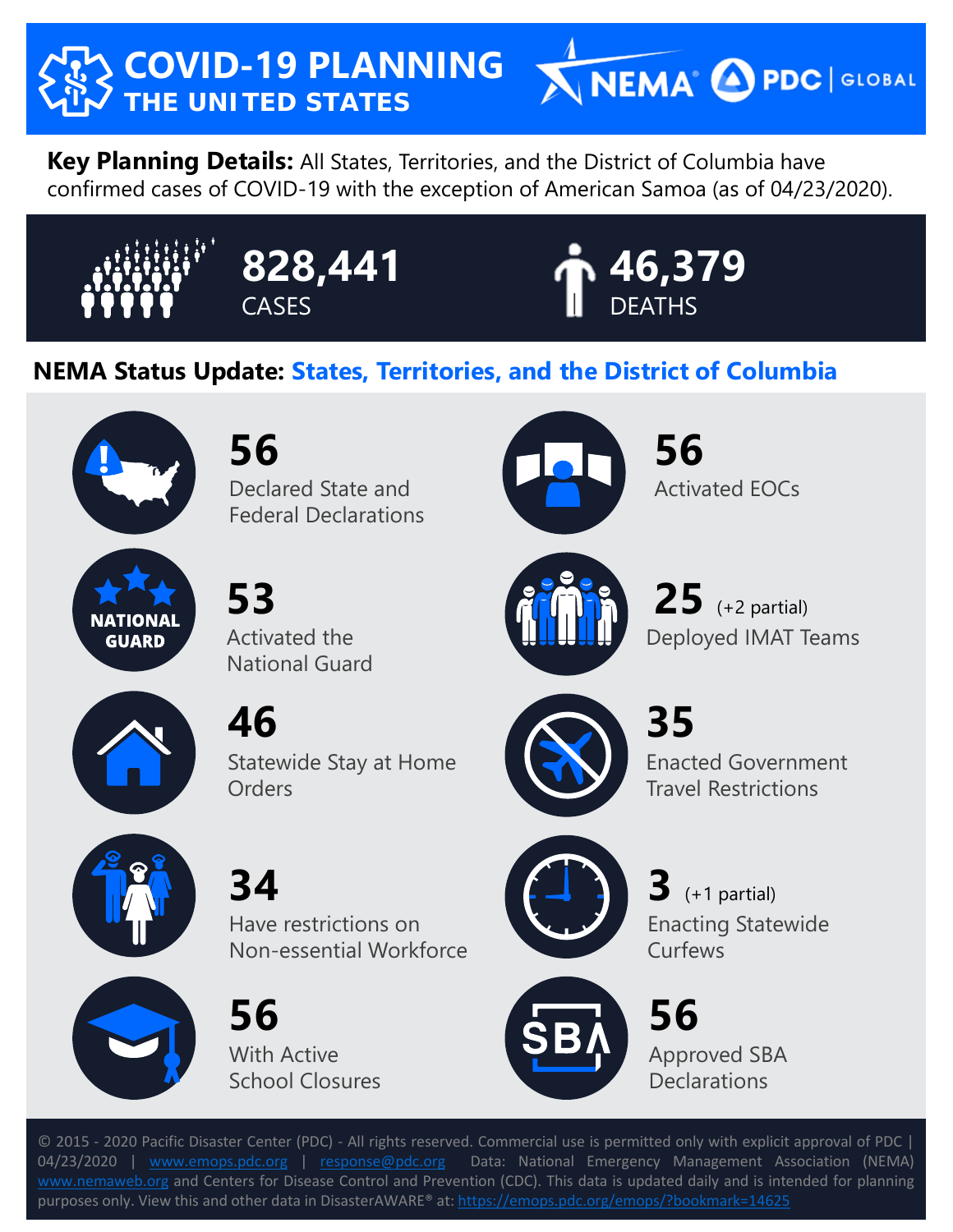

**Key Planning Details:** All States, Territories, and the District of Columbia have confirmed cases of COVID-19 with the exception of American Samoa (as of 04/23/2020).







## **NEMA Status Update: States, Territories, and the District of Columbia**



**56**

Declared State and Federal Declarations



**56** Activated EOCs

 $25$   $(+2$  partial)



**53**  Activated the

National Guard



**46**

Statewide Stay at Home **Orders** 



**35** Enacted Government Travel Restrictions

Deployed IMAT Teams



**34** 

Have restrictions on Non-essential Workforce



**56** With Active School Closures



 $3$   $(+1$  partial) Enacting Statewide **Curfews** 



**56** Approved SBA **Declarations** 

© 2015 - 2020 Pacific Disaster Center (PDC) - All rights reserved. Commercial use is permitted only with explicit approval of PDC | 04/23/2020 | [www.emops.pdc.org](http://www.emops.pdc.org/) | [response@pdc.org](mailto:response@pdc.org) Data: National Emergency Management Association (NEMA) [www.nemaweb.org](http://www.nemaweb.org/) and Centers for Disease Control and Prevention (CDC). This data is updated daily and is intended for planning purposes only. View this and other data in DisasterAWARE® at: <https://emops.pdc.org/emops/?bookmark=14625>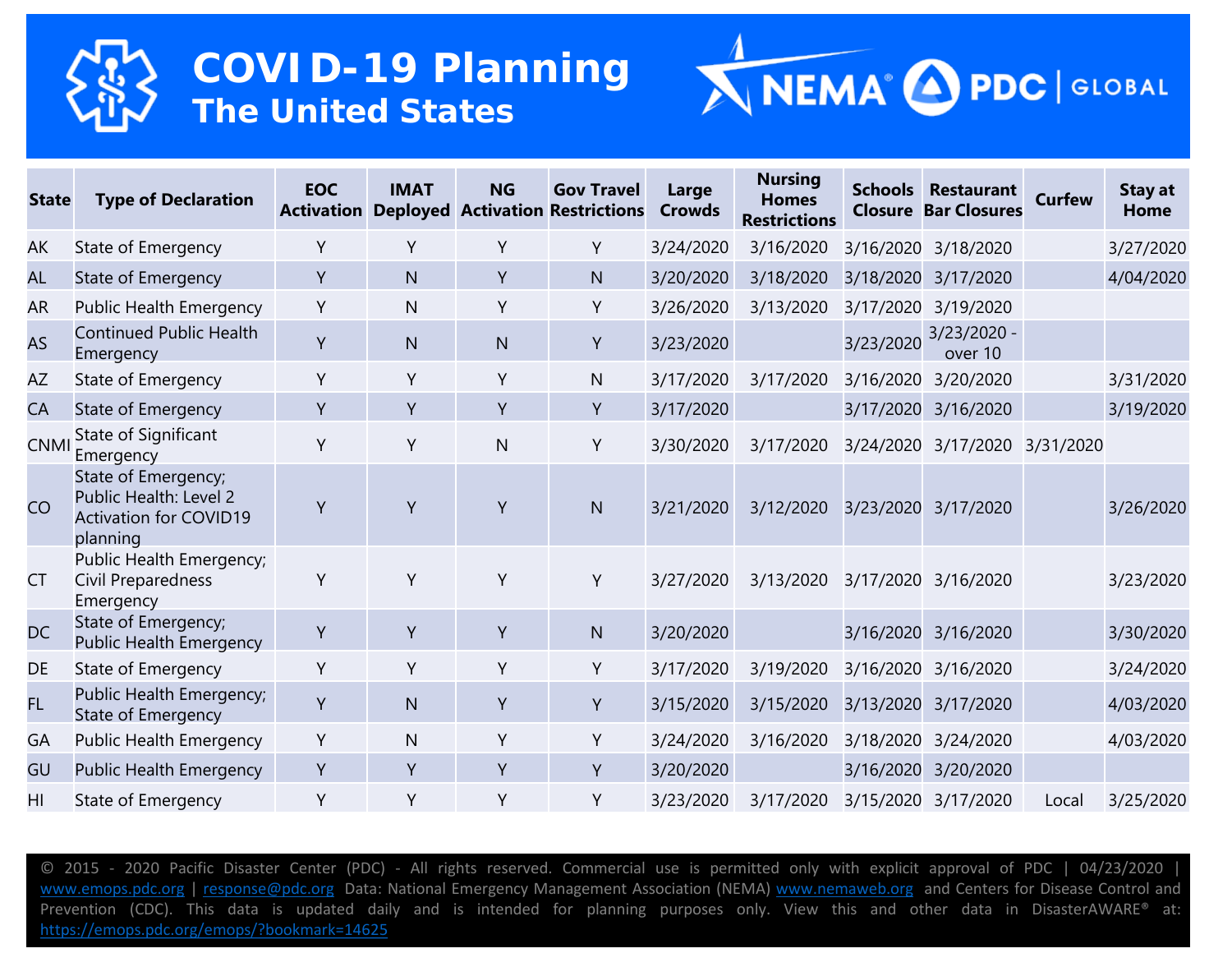



| <b>State</b> | <b>Type of Declaration</b>                                                                 | <b>EOC</b><br><b>Activation</b> | <b>IMAT</b>  | <b>NG</b>    | <b>Gov Travel</b><br><b>Deployed Activation Restrictions</b> | Large<br><b>Crowds</b> | <b>Nursing</b><br><b>Homes</b><br><b>Restrictions</b> |           | <b>Schools Restaurant</b><br><b>Closure Bar Closures</b> | <b>Curfew</b> | <b>Stay at</b><br>Home |
|--------------|--------------------------------------------------------------------------------------------|---------------------------------|--------------|--------------|--------------------------------------------------------------|------------------------|-------------------------------------------------------|-----------|----------------------------------------------------------|---------------|------------------------|
| AK           | State of Emergency                                                                         | Y                               | Y            | Y            | Y                                                            | 3/24/2020              | 3/16/2020                                             |           | 3/16/2020 3/18/2020                                      |               | 3/27/2020              |
| <b>AL</b>    | State of Emergency                                                                         | Y                               | N            | Y            | N                                                            | 3/20/2020              | 3/18/2020                                             | 3/18/2020 | 3/17/2020                                                |               | 4/04/2020              |
| AR           | <b>Public Health Emergency</b>                                                             | Y                               | $\mathsf{N}$ | Y            | Y                                                            | 3/26/2020              | 3/13/2020                                             |           | 3/17/2020 3/19/2020                                      |               |                        |
| <b>AS</b>    | <b>Continued Public Health</b><br>Emergency                                                | Y                               | N            | N            | Y                                                            | 3/23/2020              |                                                       | 3/23/2020 | $3/23/2020 -$<br>over 10                                 |               |                        |
| AZ           | State of Emergency                                                                         | Υ                               | Y            | Y            | $\mathsf{N}$                                                 | 3/17/2020              | 3/17/2020                                             | 3/16/2020 | 3/20/2020                                                |               | 3/31/2020              |
| CA           | State of Emergency                                                                         | Y                               | Y            | Y            | Υ                                                            | 3/17/2020              |                                                       |           | 3/17/2020 3/16/2020                                      |               | 3/19/2020              |
| <b>CNMI</b>  | State of Significant<br>Emergency                                                          | Y                               | Y            | $\mathsf{N}$ | Y                                                            | 3/30/2020              | 3/17/2020                                             |           | 3/24/2020 3/17/2020 3/31/2020                            |               |                        |
| <b>CO</b>    | State of Emergency;<br>Public Health: Level 2<br><b>Activation for COVID19</b><br>planning | Y                               | Y            | Y            | N                                                            | 3/21/2020              | 3/12/2020                                             |           | 3/23/2020 3/17/2020                                      |               | 3/26/2020              |
| <b>CT</b>    | Public Health Emergency;<br>Civil Preparedness<br>Emergency                                | Y                               | Y            | Y            | Υ                                                            | 3/27/2020              |                                                       |           | 3/13/2020 3/17/2020 3/16/2020                            |               | 3/23/2020              |
| <b>DC</b>    | State of Emergency;<br><b>Public Health Emergency</b>                                      | Y                               | Y            | Y            | N                                                            | 3/20/2020              |                                                       |           | 3/16/2020 3/16/2020                                      |               | 3/30/2020              |
| DE           | State of Emergency                                                                         | Υ                               | Y            | Y            | Υ                                                            | 3/17/2020              | 3/19/2020                                             | 3/16/2020 | 3/16/2020                                                |               | 3/24/2020              |
| FL.          | Public Health Emergency;<br>State of Emergency                                             | Y                               | N            | Y            | Y                                                            | 3/15/2020              | 3/15/2020                                             | 3/13/2020 | 3/17/2020                                                |               | 4/03/2020              |
| GA           | <b>Public Health Emergency</b>                                                             | Y                               | $\mathsf{N}$ | Y            | Υ                                                            | 3/24/2020              | 3/16/2020                                             |           | 3/18/2020 3/24/2020                                      |               | 4/03/2020              |
| GU           | Public Health Emergency                                                                    | Y                               | Y            | Y            | Y                                                            | 3/20/2020              |                                                       | 3/16/2020 | 3/20/2020                                                |               |                        |
| HI           | State of Emergency                                                                         | Y                               | Y            | Y            | Υ                                                            | 3/23/2020              | 3/17/2020                                             |           | 3/15/2020 3/17/2020                                      | Local         | 3/25/2020              |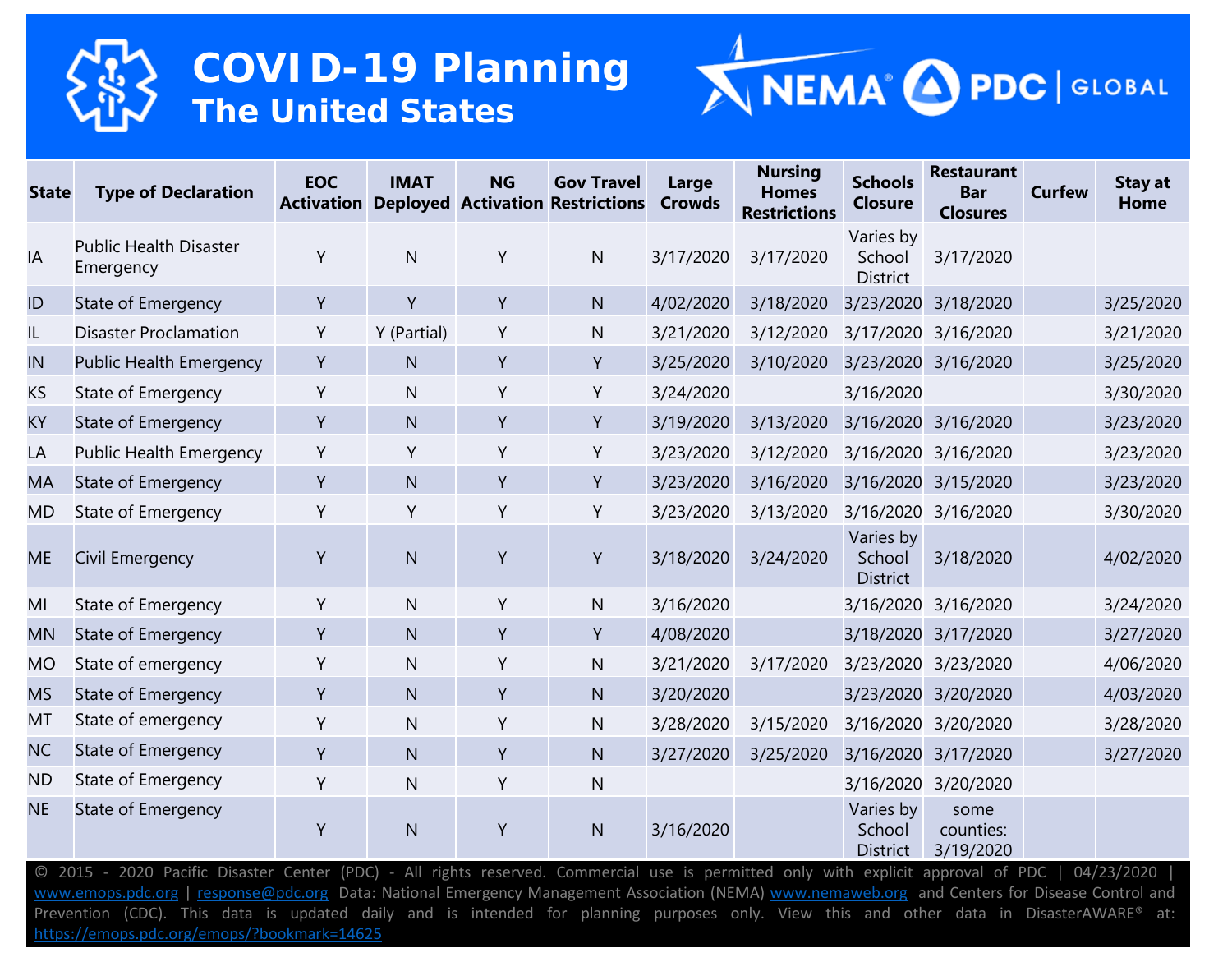



| <b>State</b> | <b>Type of Declaration</b>                 | <b>EOC</b><br><b>Activation</b> | <b>IMAT</b>  | <b>NG</b> | <b>Gov Travel</b><br><b>Deployed Activation Restrictions</b> | Large<br><b>Crowds</b> | <b>Nursing</b><br><b>Homes</b><br><b>Restrictions</b> | <b>Schools</b><br><b>Closure</b>       | <b>Restaurant</b><br><b>Bar</b><br><b>Closures</b> | <b>Curfew</b> | <b>Stay at</b><br>Home |
|--------------|--------------------------------------------|---------------------------------|--------------|-----------|--------------------------------------------------------------|------------------------|-------------------------------------------------------|----------------------------------------|----------------------------------------------------|---------------|------------------------|
| IA           | <b>Public Health Disaster</b><br>Emergency | Y                               | $\mathsf{N}$ | Y         | $\mathsf{N}$                                                 | 3/17/2020              | 3/17/2020                                             | Varies by<br>School<br><b>District</b> | 3/17/2020                                          |               |                        |
| ID           | State of Emergency                         | Y                               | Y            | Y         | $\mathsf{N}$                                                 | 4/02/2020              | 3/18/2020                                             | 3/23/2020                              | 3/18/2020                                          |               | 3/25/2020              |
| IL           | <b>Disaster Proclamation</b>               | Υ                               | Y (Partial)  | Y         | N                                                            | 3/21/2020              | 3/12/2020                                             | 3/17/2020                              | 3/16/2020                                          |               | 3/21/2020              |
| IN           | <b>Public Health Emergency</b>             | Y                               | N            | Y         | Y                                                            | 3/25/2020              | 3/10/2020                                             | 3/23/2020                              | 3/16/2020                                          |               | 3/25/2020              |
| KS           | State of Emergency                         | Υ                               | $\mathsf{N}$ | Y         | Y                                                            | 3/24/2020              |                                                       | 3/16/2020                              |                                                    |               | 3/30/2020              |
| KY           | State of Emergency                         | Y                               | N.           | Y         | Y                                                            | 3/19/2020              | 3/13/2020                                             | 3/16/2020                              | 3/16/2020                                          |               | 3/23/2020              |
| LA           | <b>Public Health Emergency</b>             | Y                               | Y            | Y         | Y                                                            | 3/23/2020              | 3/12/2020                                             | 3/16/2020                              | 3/16/2020                                          |               | 3/23/2020              |
| MA           | State of Emergency                         | Y                               | N            | Y         | Y                                                            | 3/23/2020              | 3/16/2020                                             | 3/16/2020                              | 3/15/2020                                          |               | 3/23/2020              |
| MD           | State of Emergency                         | Y                               | Y            | Y         | Y                                                            | 3/23/2020              | 3/13/2020                                             | 3/16/2020                              | 3/16/2020                                          |               | 3/30/2020              |
| <b>ME</b>    | Civil Emergency                            | Y                               | N            | Y         | Y                                                            | 3/18/2020              | 3/24/2020                                             | Varies by<br>School<br><b>District</b> | 3/18/2020                                          |               | 4/02/2020              |
| MI           | State of Emergency                         | Y                               | $\mathsf{N}$ | Y         | N                                                            | 3/16/2020              |                                                       | 3/16/2020                              | 3/16/2020                                          |               | 3/24/2020              |
| <b>MN</b>    | State of Emergency                         | Y                               | N.           | Y         | Y                                                            | 4/08/2020              |                                                       | 3/18/2020                              | 3/17/2020                                          |               | 3/27/2020              |
| <b>MO</b>    | State of emergency                         | Y                               | $\mathsf{N}$ | Y         | N                                                            | 3/21/2020              | 3/17/2020                                             | 3/23/2020                              | 3/23/2020                                          |               | 4/06/2020              |
| <b>MS</b>    | State of Emergency                         | Y                               | N.           | Y         | $\mathsf{N}$                                                 | 3/20/2020              |                                                       | 3/23/2020                              | 3/20/2020                                          |               | 4/03/2020              |
| MT           | State of emergency                         | Y                               | $\mathsf{N}$ | Y         | $\mathsf{N}$                                                 | 3/28/2020              | 3/15/2020                                             | 3/16/2020                              | 3/20/2020                                          |               | 3/28/2020              |
| <b>NC</b>    | State of Emergency                         | Y                               | N.           | Y         | $\mathsf{N}$                                                 | 3/27/2020              | 3/25/2020                                             | 3/16/2020                              | 3/17/2020                                          |               | 3/27/2020              |
| <b>ND</b>    | State of Emergency                         | Y                               | $\mathsf{N}$ | Y         | $\mathsf{N}$                                                 |                        |                                                       | 3/16/2020                              | 3/20/2020                                          |               |                        |
| <b>NE</b>    | State of Emergency                         | Y                               | N            | Y         | N                                                            | 3/16/2020              |                                                       | Varies by<br>School<br><b>District</b> | some<br>counties:<br>3/19/2020                     |               |                        |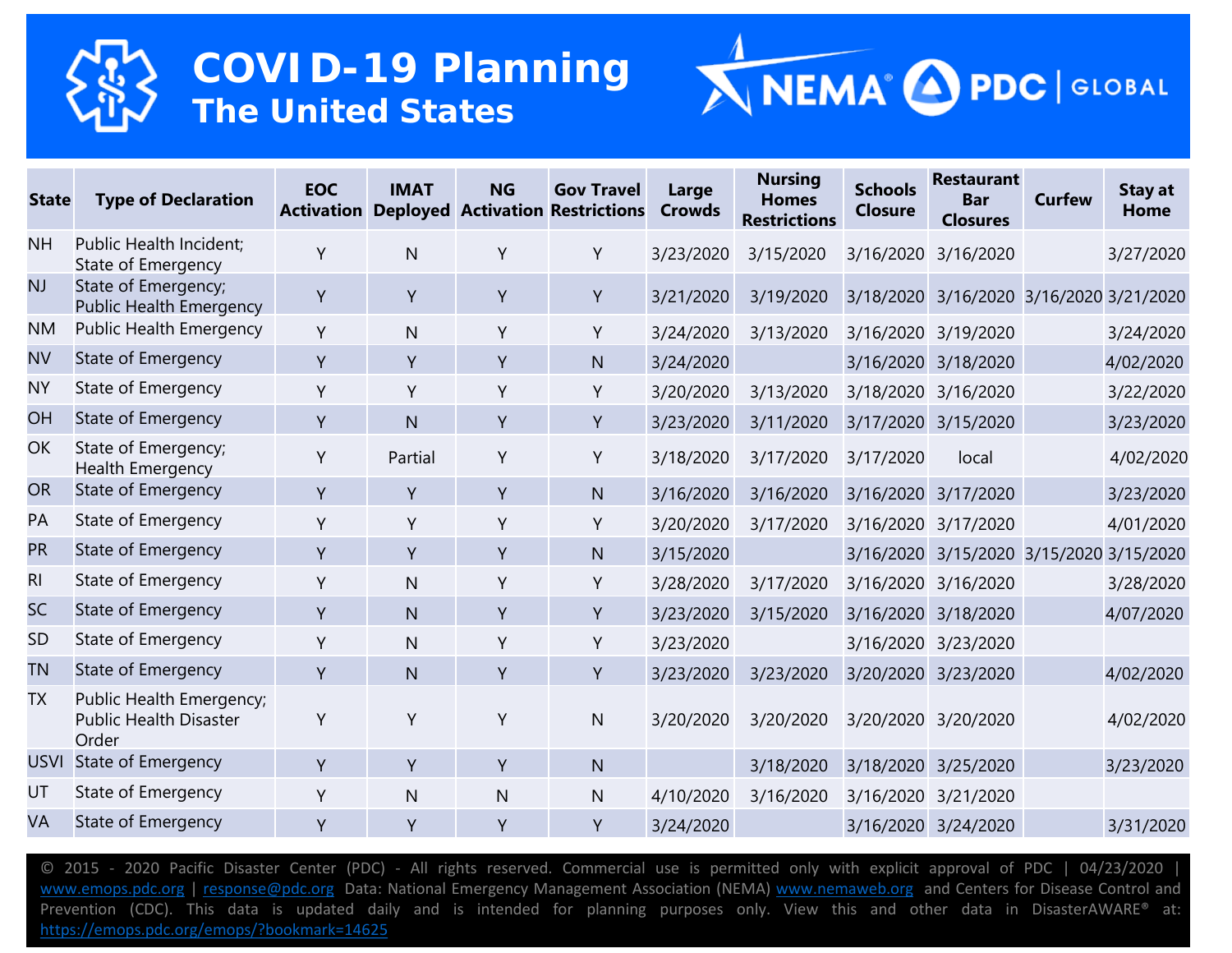



| <b>State</b>   | <b>Type of Declaration</b>                                         | <b>EOC</b><br><b>Activation</b> | <b>IMAT</b>  | <b>NG</b>    | <b>Gov Travel</b><br><b>Deployed Activation Restrictions</b> | Large<br><b>Crowds</b> | <b>Nursing</b><br><b>Homes</b><br><b>Restrictions</b> | <b>Schools</b><br><b>Closure</b> | <b>Restaurant</b><br><b>Bar</b><br><b>Closures</b> | <b>Curfew</b> | <b>Stay at</b><br>Home |
|----------------|--------------------------------------------------------------------|---------------------------------|--------------|--------------|--------------------------------------------------------------|------------------------|-------------------------------------------------------|----------------------------------|----------------------------------------------------|---------------|------------------------|
| <b>NH</b>      | Public Health Incident;<br>State of Emergency                      | Y                               | $\mathsf{N}$ | Y            | Y                                                            | 3/23/2020              | 3/15/2020                                             |                                  | 3/16/2020 3/16/2020                                |               | 3/27/2020              |
| <b>NJ</b>      | State of Emergency;<br><b>Public Health Emergency</b>              | Y                               | Y            | Y            | Y                                                            | 3/21/2020              | 3/19/2020                                             |                                  | 3/18/2020 3/16/2020 3/16/2020 3/21/2020            |               |                        |
| <b>NM</b>      | <b>Public Health Emergency</b>                                     | Υ                               | $\mathsf{N}$ | Y            | Y                                                            | 3/24/2020              | 3/13/2020                                             |                                  | 3/16/2020 3/19/2020                                |               | 3/24/2020              |
| <b>NV</b>      | <b>State of Emergency</b>                                          | Y                               | Y            | Y            | N                                                            | 3/24/2020              |                                                       |                                  | 3/16/2020 3/18/2020                                |               | 4/02/2020              |
| <b>NY</b>      | State of Emergency                                                 | Y                               | Y            | Y            | Y                                                            | 3/20/2020              | 3/13/2020                                             |                                  | 3/18/2020 3/16/2020                                |               | 3/22/2020              |
| OH             | State of Emergency                                                 | Y                               | $\mathsf{N}$ | Y            | Y                                                            | 3/23/2020              | 3/11/2020                                             |                                  | 3/17/2020 3/15/2020                                |               | 3/23/2020              |
| OK             | State of Emergency;<br><b>Health Emergency</b>                     | Y                               | Partial      | Y            | Y                                                            | 3/18/2020              | 3/17/2020                                             | 3/17/2020                        | local                                              |               | 4/02/2020              |
| <b>OR</b>      | <b>State of Emergency</b>                                          | Y                               | Y            | Y            | N                                                            | 3/16/2020              | 3/16/2020                                             |                                  | 3/16/2020 3/17/2020                                |               | 3/23/2020              |
| PA             | State of Emergency                                                 | Y                               | Y            | Y            | Y                                                            | 3/20/2020              | 3/17/2020                                             |                                  | 3/16/2020 3/17/2020                                |               | 4/01/2020              |
| <b>PR</b>      | State of Emergency                                                 | Y                               | Y            | Y            | N                                                            | 3/15/2020              |                                                       |                                  | 3/16/2020 3/15/2020 3/15/2020                      |               | 3/15/2020              |
| R <sub>l</sub> | State of Emergency                                                 | Y                               | N            | Y            | Y                                                            | 3/28/2020              | 3/17/2020                                             |                                  | 3/16/2020 3/16/2020                                |               | 3/28/2020              |
| SC             | State of Emergency                                                 | Y                               | $\mathsf{N}$ | Y            | Y                                                            | 3/23/2020              | 3/15/2020                                             |                                  | 3/16/2020 3/18/2020                                |               | 4/07/2020              |
| <b>SD</b>      | State of Emergency                                                 | Y                               | $\mathsf{N}$ | Y            | Y                                                            | 3/23/2020              |                                                       |                                  | 3/16/2020 3/23/2020                                |               |                        |
| <b>TN</b>      | <b>State of Emergency</b>                                          | Y                               | N.           | Y            | Y                                                            | 3/23/2020              | 3/23/2020                                             |                                  | 3/20/2020 3/23/2020                                |               | 4/02/2020              |
| <b>TX</b>      | Public Health Emergency;<br><b>Public Health Disaster</b><br>Order | Y                               | Y            | Y            | N                                                            | 3/20/2020              | 3/20/2020                                             |                                  | 3/20/2020 3/20/2020                                |               | 4/02/2020              |
| <b>USVI</b>    | <b>State of Emergency</b>                                          | Y                               | Y            | $\mathsf{Y}$ | $\overline{N}$                                               |                        | 3/18/2020                                             |                                  | 3/18/2020 3/25/2020                                |               | 3/23/2020              |
| UT             | State of Emergency                                                 | Y                               | $\mathsf{N}$ | N            | N                                                            | 4/10/2020              | 3/16/2020                                             | 3/16/2020                        | 3/21/2020                                          |               |                        |
| VA             | State of Emergency                                                 | Y                               | Y            | Y            | Y                                                            | 3/24/2020              |                                                       |                                  | 3/16/2020 3/24/2020                                |               | 3/31/2020              |